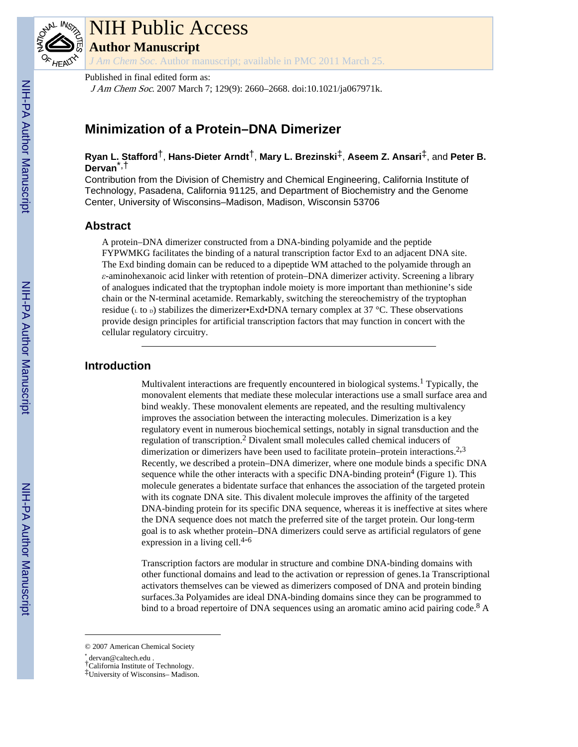

# NIH Public Access

**Author Manuscript**

*J Am Chem Soc*. Author manuscript; available in PMC 2011 March 25.

Published in final edited form as:

J Am Chem Soc. 2007 March 7; 129(9): 2660–2668. doi:10.1021/ja067971k.

## **Minimization of a Protein–DNA Dimerizer**

## **Ryan L. Stafford**†, **Hans-Dieter Arndt**†, **Mary L. Brezinski**‡, **Aseem Z. Ansari**‡, and **Peter B. Dervan**\*,†

Contribution from the Division of Chemistry and Chemical Engineering, California Institute of Technology, Pasadena, California 91125, and Department of Biochemistry and the Genome Center, University of Wisconsins–Madison, Madison, Wisconsin 53706

## **Abstract**

A protein–DNA dimerizer constructed from a DNA-binding polyamide and the peptide FYPWMKG facilitates the binding of a natural transcription factor Exd to an adjacent DNA site. The Exd binding domain can be reduced to a dipeptide WM attached to the polyamide through an *ε*-aminohexanoic acid linker with retention of protein–DNA dimerizer activity. Screening a library of analogues indicated that the tryptophan indole moiety is more important than methionine's side chain or the N-terminal acetamide. Remarkably, switching the stereochemistry of the tryptophan residue ( $\iota$  to  $\iota$ ) stabilizes the dimerizer•Exd•DNA ternary complex at 37 °C. These observations provide design principles for artificial transcription factors that may function in concert with the cellular regulatory circuitry.

## **Introduction**

Multivalent interactions are frequently encountered in biological systems.<sup>1</sup> Typically, the monovalent elements that mediate these molecular interactions use a small surface area and bind weakly. These monovalent elements are repeated, and the resulting multivalency improves the association between the interacting molecules. Dimerization is a key regulatory event in numerous biochemical settings, notably in signal transduction and the regulation of transcription.<sup>2</sup> Divalent small molecules called chemical inducers of dimerization or dimerizers have been used to facilitate protein–protein interactions.<sup>2,3</sup> Recently, we described a protein–DNA dimerizer, where one module binds a specific DNA sequence while the other interacts with a specific DNA-binding protein<sup>4</sup> (Figure 1). This molecule generates a bidentate surface that enhances the association of the targeted protein with its cognate DNA site. This divalent molecule improves the affinity of the targeted DNA-binding protein for its specific DNA sequence, whereas it is ineffective at sites where the DNA sequence does not match the preferred site of the target protein. Our long-term goal is to ask whether protein–DNA dimerizers could serve as artificial regulators of gene expression in a living cell. $4-6$ 

Transcription factors are modular in structure and combine DNA-binding domains with other functional domains and lead to the activation or repression of genes.1a Transcriptional activators themselves can be viewed as dimerizers composed of DNA and protein binding surfaces.3a Polyamides are ideal DNA-binding domains since they can be programmed to bind to a broad repertoire of DNA sequences using an aromatic amino acid pairing code.<sup>8</sup> A

<sup>© 2007</sup> American Chemical Society

<sup>\*</sup> dervan@caltech.edu .

<sup>†</sup>California Institute of Technology.

<sup>‡</sup>University of Wisconsins– Madison.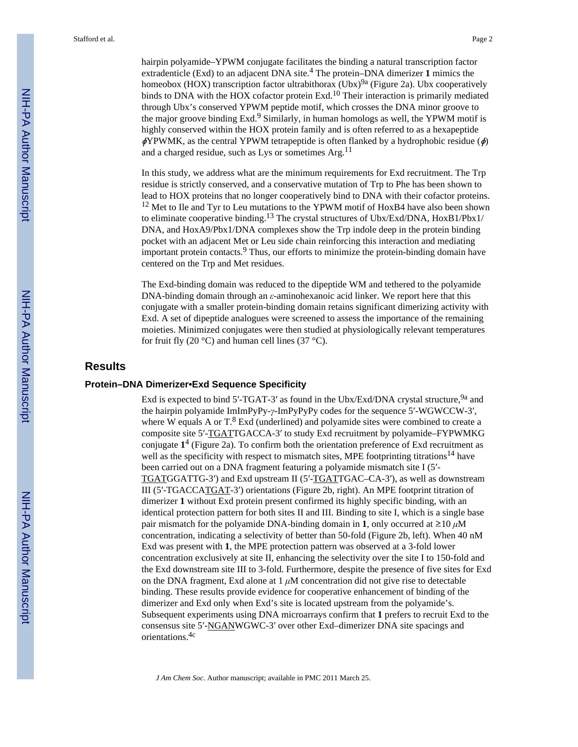hairpin polyamide–YPWM conjugate facilitates the binding a natural transcription factor extradenticle (Exd) to an adjacent DNA site.<sup>4</sup> The protein–DNA dimerizer 1 mimics the homeobox (HOX) transcription factor ultrabithorax (Ubx)<sup>9a</sup> (Figure 2a). Ubx cooperatively binds to DNA with the HOX cofactor protein Exd.<sup>10</sup> Their interaction is primarily mediated through Ubx's conserved YPWM peptide motif, which crosses the DNA minor groove to the major groove binding Exd.<sup>9</sup> Similarly, in human homologs as well, the YPWM motif is highly conserved within the HOX protein family and is often referred to as a hexapeptide  $\phi$ YPWMK, as the central YPWM tetrapeptide is often flanked by a hydrophobic residue ( $\phi$ ) and a charged residue, such as Lys or sometimes  $Arg<sup>11</sup>$ 

In this study, we address what are the minimum requirements for Exd recruitment. The Trp residue is strictly conserved, and a conservative mutation of Trp to Phe has been shown to lead to HOX proteins that no longer cooperatively bind to DNA with their cofactor proteins. <sup>12</sup> Met to Ile and Tyr to Leu mutations to the YPWM motif of HoxB4 have also been shown to eliminate cooperative binding.<sup>13</sup> The crystal structures of Ubx/Exd/DNA, HoxB1/Pbx1/ DNA, and HoxA9/Pbx1/DNA complexes show the Trp indole deep in the protein binding pocket with an adjacent Met or Leu side chain reinforcing this interaction and mediating important protein contacts.<sup>9</sup> Thus, our efforts to minimize the protein-binding domain have centered on the Trp and Met residues.

The Exd-binding domain was reduced to the dipeptide WM and tethered to the polyamide DNA-binding domain through an *ε*-aminohexanoic acid linker. We report here that this conjugate with a smaller protein-binding domain retains significant dimerizing activity with Exd. A set of dipeptide analogues were screened to assess the importance of the remaining moieties. Minimized conjugates were then studied at physiologically relevant temperatures for fruit fly (20 $\degree$ C) and human cell lines (37 $\degree$ C).

## **Results**

#### **Protein–DNA Dimerizer•Exd Sequence Specificity**

Exd is expected to bind 5'-TGAT-3' as found in the Ubx/Exd/DNA crystal structure, <sup>9a</sup> and the hairpin polyamide ImImPyPy-*γ*-ImPyPyPy codes for the sequence 5′-WGWCCW-3′, where W equals A or  $T^8$ . Exd (underlined) and polyamide sites were combined to create a composite site 5′-TGATTGACCA-3′ to study Exd recruitment by polyamide–FYPWMKG conjugate **1** 4 (Figure 2a). To confirm both the orientation preference of Exd recruitment as well as the specificity with respect to mismatch sites, MPE footprinting titrations<sup>14</sup> have been carried out on a DNA fragment featuring a polyamide mismatch site I (5′- TGATGGATTG-3′) and Exd upstream II (5′-TGATTGAC–CA-3′), as well as downstream III (5′-TGACCATGAT-3′) orientations (Figure 2b, right). An MPE footprint titration of dimerizer **1** without Exd protein present confirmed its highly specific binding, with an identical protection pattern for both sites II and III. Binding to site I, which is a single base pair mismatch for the polyamide DNA-binding domain in **1**, only occurred at  $\geq 10 \mu M$ concentration, indicating a selectivity of better than 50-fold (Figure 2b, left). When 40 nM Exd was present with **1**, the MPE protection pattern was observed at a 3-fold lower concentration exclusively at site II, enhancing the selectivity over the site I to 150-fold and the Exd downstream site III to 3-fold. Furthermore, despite the presence of five sites for Exd on the DNA fragment, Exd alone at 1 *μ*M concentration did not give rise to detectable binding. These results provide evidence for cooperative enhancement of binding of the dimerizer and Exd only when Exd's site is located upstream from the polyamide's. Subsequent experiments using DNA microarrays confirm that **1** prefers to recruit Exd to the consensus site 5′-NGANWGWC-3′ over other Exd–dimerizer DNA site spacings and orientations.4c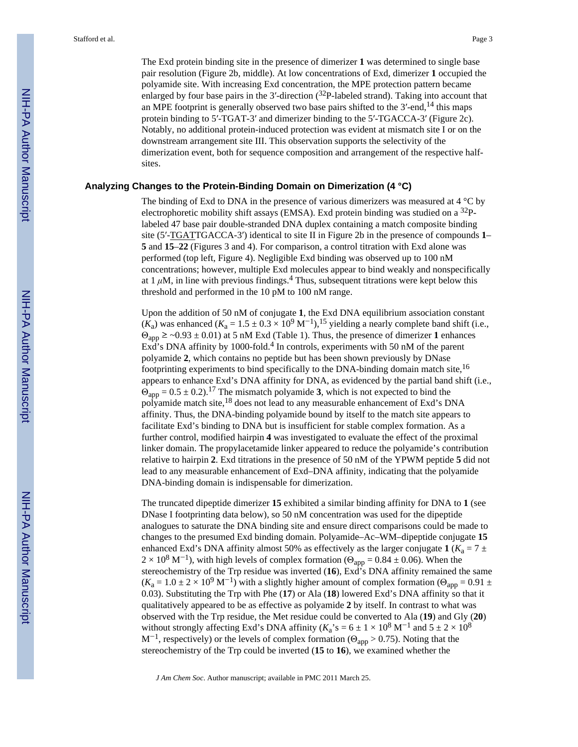downstream arrangement site III. This observation supports the selectivity of the dimerization event, both for sequence composition and arrangement of the respective halfsites.

#### **Analyzing Changes to the Protein-Binding Domain on Dimerization (4 °C)**

The binding of Exd to DNA in the presence of various dimerizers was measured at 4 °C by electrophoretic mobility shift assays (EMSA). Exd protein binding was studied on a 32Plabeled 47 base pair double-stranded DNA duplex containing a match composite binding site (5′-TGATTGACCA-3′) identical to site II in Figure 2b in the presence of compounds **1**– **5** and **15**–**22** (Figures 3 and 4). For comparison, a control titration with Exd alone was performed (top left, Figure 4). Negligible Exd binding was observed up to 100 nM concentrations; however, multiple Exd molecules appear to bind weakly and nonspecifically at  $1 \mu$ M, in line with previous findings.<sup>4</sup> Thus, subsequent titrations were kept below this threshold and performed in the 10 pM to 100 nM range.

Upon the addition of 50 nM of conjugate **1**, the Exd DNA equilibrium association constant  $(K_a)$  was enhanced  $(K_a = 1.5 \pm 0.3 \times 10^9 \text{ M}^{-1})$ , <sup>15</sup> yielding a nearly complete band shift (i.e.,  $\Theta_{\text{app}} \geq -0.93 \pm 0.01$ ) at 5 nM Exd (Table 1). Thus, the presence of dimerizer 1 enhances  $\text{Exd's DNA affinity by } 1000\text{-fold.}^4$  In controls, experiments with 50 nM of the parent polyamide **2**, which contains no peptide but has been shown previously by DNase footprinting experiments to bind specifically to the DNA-binding domain match site,<sup>16</sup> appears to enhance Exd's DNA affinity for DNA, as evidenced by the partial band shift (i.e.,  $\Theta_{\text{app}} = 0.5 \pm 0.2$ ).<sup>17</sup> The mismatch polyamide 3, which is not expected to bind the polyamide match site,<sup>18</sup> does not lead to any measurable enhancement of Exd's DNA affinity. Thus, the DNA-binding polyamide bound by itself to the match site appears to facilitate Exd's binding to DNA but is insufficient for stable complex formation. As a further control, modified hairpin **4** was investigated to evaluate the effect of the proximal linker domain. The propylacetamide linker appeared to reduce the polyamide's contribution relative to hairpin **2**. Exd titrations in the presence of 50 nM of the YPWM peptide **5** did not lead to any measurable enhancement of Exd–DNA affinity, indicating that the polyamide DNA-binding domain is indispensable for dimerization.

The truncated dipeptide dimerizer **15** exhibited a similar binding affinity for DNA to **1** (see DNase I footprinting data below), so 50 nM concentration was used for the dipeptide analogues to saturate the DNA binding site and ensure direct comparisons could be made to changes to the presumed Exd binding domain. Polyamide–Ac–WM–dipeptide conjugate **15** enhanced Exd's DNA affinity almost 50% as effectively as the larger conjugate  $1$  ( $K_a = 7 \pm 1$  $2 \times 10^8$  M<sup>-1</sup>), with high levels of complex formation ( $\Theta_{app} = 0.84 \pm 0.06$ ). When the stereochemistry of the Trp residue was inverted (**16**), Exd's DNA affinity remained the same  $(K_a = 1.0 \pm 2 \times 10^9 \text{ M}^{-1})$  with a slightly higher amount of complex formation ( $\Theta_{app} = 0.91 \pm 10^9 \text{ M}^{-1}$ ) 0.03). Substituting the Trp with Phe (**17**) or Ala (**18**) lowered Exd's DNA affinity so that it qualitatively appeared to be as effective as polyamide **2** by itself. In contrast to what was observed with the Trp residue, the Met residue could be converted to Ala (**19**) and Gly (**20**) without strongly affecting Exd's DNA affinity ( $K_a$ 's = 6 ± 1 × 10<sup>8</sup> M<sup>-1</sup> and 5 ± 2 × 10<sup>8</sup> M<sup>-1</sup>, respectively) or the levels of complex formation ( $\Theta_{app} > 0.75$ ). Noting that the stereochemistry of the Trp could be inverted (**15** to **16**), we examined whether the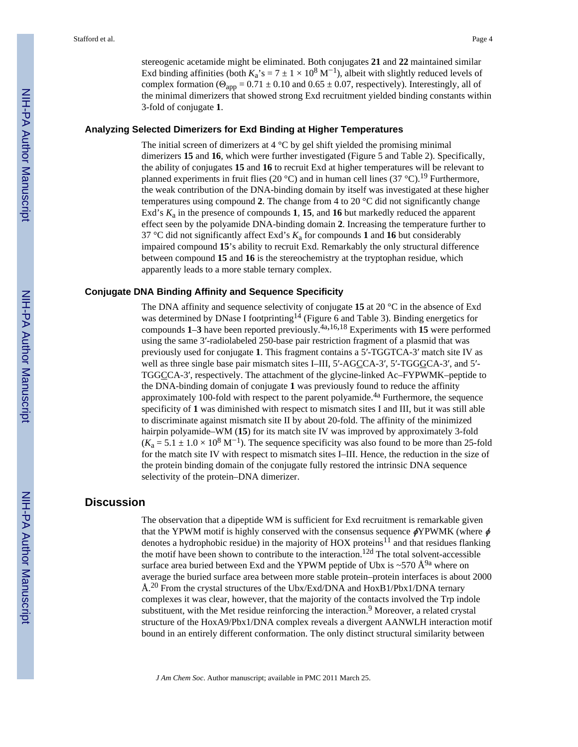stereogenic acetamide might be eliminated. Both conjugates **21** and **22** maintained similar Exd binding affinities (both  $K_a$ 's = 7 ± 1 × 10<sup>8</sup> M<sup>-1</sup>), albeit with slightly reduced levels of complex formation ( $\Theta_{app} = 0.71 \pm 0.10$  and  $0.65 \pm 0.07$ , respectively). Interestingly, all of the minimal dimerizers that showed strong Exd recruitment yielded binding constants within 3-fold of conjugate **1**.

#### **Analyzing Selected Dimerizers for Exd Binding at Higher Temperatures**

The initial screen of dimerizers at 4 °C by gel shift yielded the promising minimal dimerizers **15** and **16**, which were further investigated (Figure 5 and Table 2). Specifically, the ability of conjugates **15** and **16** to recruit Exd at higher temperatures will be relevant to planned experiments in fruit flies (20 °C) and in human cell lines (37 °C).<sup>19</sup> Furthermore, the weak contribution of the DNA-binding domain by itself was investigated at these higher temperatures using compound **2**. The change from 4 to 20 °C did not significantly change Exd's *K*<sup>a</sup> in the presence of compounds **1**, **15**, and **16** but markedly reduced the apparent effect seen by the polyamide DNA-binding domain **2**. Increasing the temperature further to 37 °C did not significantly affect Exd's *K*<sup>a</sup> for compounds **1** and **16** but considerably impaired compound **15**'s ability to recruit Exd. Remarkably the only structural difference between compound **15** and **16** is the stereochemistry at the tryptophan residue, which apparently leads to a more stable ternary complex.

#### **Conjugate DNA Binding Affinity and Sequence Specificity**

The DNA affinity and sequence selectivity of conjugate **15** at 20 °C in the absence of Exd was determined by DNase I footprinting<sup>14</sup> (Figure 6 and Table 3). Binding energetics for compounds **1**–**3** have been reported previously.4a,16,18 Experiments with **15** were performed using the same 3′-radiolabeled 250-base pair restriction fragment of a plasmid that was previously used for conjugate **1**. This fragment contains a 5′-TGGTCA-3′ match site IV as well as three single base pair mismatch sites I–III, 5'-AGCCA-3', 5'-TGGGCA-3', and 5'-TGGCCA-3′, respectively. The attachment of the glycine-linked Ac–FYPWMK–peptide to the DNA-binding domain of conjugate **1** was previously found to reduce the affinity approximately 100-fold with respect to the parent polyamide.<sup>4a</sup> Furthermore, the sequence specificity of **1** was diminished with respect to mismatch sites I and III, but it was still able to discriminate against mismatch site II by about 20-fold. The affinity of the minimized hairpin polyamide–WM (**15**) for its match site IV was improved by approximately 3-fold  $(K_a = 5.1 \pm 1.0 \times 10^8 \text{ M}^{-1})$ . The sequence specificity was also found to be more than 25-fold for the match site IV with respect to mismatch sites I–III. Hence, the reduction in the size of the protein binding domain of the conjugate fully restored the intrinsic DNA sequence selectivity of the protein–DNA dimerizer.

## **Discussion**

The observation that a dipeptide WM is sufficient for Exd recruitment is remarkable given that the YPWM motif is highly conserved with the consensus sequence  $\phi$ YPWMK (where  $\phi$ denotes a hydrophobic residue) in the majority of HOX proteins<sup>11</sup> and that residues flanking the motif have been shown to contribute to the interaction.12d The total solvent-accessible surface area buried between Exd and the YPWM peptide of Ubx is ~570  $\AA^{9a}$  where on average the buried surface area between more stable protein–protein interfaces is about 2000 Å.<sup>20</sup> From the crystal structures of the Ubx/Exd/DNA and HoxB1/Pbx1/DNA ternary complexes it was clear, however, that the majority of the contacts involved the Trp indole substituent, with the Met residue reinforcing the interaction.<sup>9</sup> Moreover, a related crystal structure of the HoxA9/Pbx1/DNA complex reveals a divergent AANWLH interaction motif bound in an entirely different conformation. The only distinct structural similarity between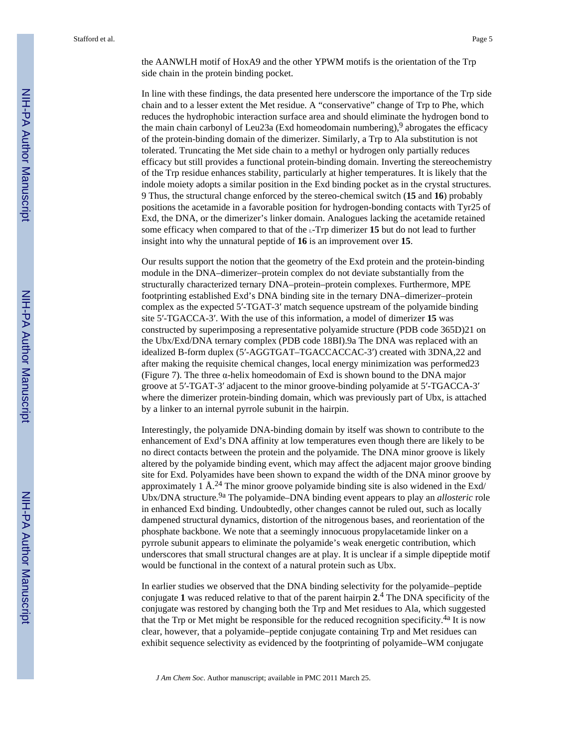the AANWLH motif of HoxA9 and the other YPWM motifs is the orientation of the Trp side chain in the protein binding pocket.

In line with these findings, the data presented here underscore the importance of the Trp side chain and to a lesser extent the Met residue. A "conservative" change of Trp to Phe, which reduces the hydrophobic interaction surface area and should eliminate the hydrogen bond to the main chain carbonyl of Leu23a (Exd homeodomain numbering),  $9$  abrogates the efficacy of the protein-binding domain of the dimerizer. Similarly, a Trp to Ala substitution is not tolerated. Truncating the Met side chain to a methyl or hydrogen only partially reduces efficacy but still provides a functional protein-binding domain. Inverting the stereochemistry of the Trp residue enhances stability, particularly at higher temperatures. It is likely that the indole moiety adopts a similar position in the Exd binding pocket as in the crystal structures. 9 Thus, the structural change enforced by the stereo-chemical switch (**15** and **16**) probably positions the acetamide in a favorable position for hydrogen-bonding contacts with Tyr25 of Exd, the DNA, or the dimerizer's linker domain. Analogues lacking the acetamide retained some efficacy when compared to that of the L-Trp dimerizer **15** but do not lead to further insight into why the unnatural peptide of **16** is an improvement over **15**.

Our results support the notion that the geometry of the Exd protein and the protein-binding module in the DNA–dimerizer–protein complex do not deviate substantially from the structurally characterized ternary DNA–protein–protein complexes. Furthermore, MPE footprinting established Exd's DNA binding site in the ternary DNA–dimerizer–protein complex as the expected 5′-TGAT-3′ match sequence upstream of the polyamide binding site 5′-TGACCA-3′. With the use of this information, a model of dimerizer **15** was constructed by superimposing a representative polyamide structure (PDB code 365D)21 on the Ubx/Exd/DNA ternary complex (PDB code 18BI).9a The DNA was replaced with an idealized B-form duplex (5′-AGGTGAT–TGACCACCAC-3′) created with 3DNA,22 and after making the requisite chemical changes, local energy minimization was performed23 (Figure 7). The three α-helix homeodomain of Exd is shown bound to the DNA major groove at 5′-TGAT-3′ adjacent to the minor groove-binding polyamide at 5′-TGACCA-3′ where the dimerizer protein-binding domain, which was previously part of Ubx, is attached by a linker to an internal pyrrole subunit in the hairpin.

Interestingly, the polyamide DNA-binding domain by itself was shown to contribute to the enhancement of Exd's DNA affinity at low temperatures even though there are likely to be no direct contacts between the protein and the polyamide. The DNA minor groove is likely altered by the polyamide binding event, which may affect the adjacent major groove binding site for Exd. Polyamides have been shown to expand the width of the DNA minor groove by approximately 1 Å.<sup>24</sup> The minor groove polyamide binding site is also widened in the Exd/ Ubx/DNA structure.<sup>9a</sup> The polyamide–DNA binding event appears to play an *allosteric* role in enhanced Exd binding. Undoubtedly, other changes cannot be ruled out, such as locally dampened structural dynamics, distortion of the nitrogenous bases, and reorientation of the phosphate backbone. We note that a seemingly innocuous propylacetamide linker on a pyrrole subunit appears to eliminate the polyamide's weak energetic contribution, which underscores that small structural changes are at play. It is unclear if a simple dipeptide motif would be functional in the context of a natural protein such as Ubx.

In earlier studies we observed that the DNA binding selectivity for the polyamide–peptide conjugate **1** was reduced relative to that of the parent hairpin **2**. 4 The DNA specificity of the conjugate was restored by changing both the Trp and Met residues to Ala, which suggested that the Trp or Met might be responsible for the reduced recognition specificity.<sup>4a</sup> It is now clear, however, that a polyamide–peptide conjugate containing Trp and Met residues can exhibit sequence selectivity as evidenced by the footprinting of polyamide–WM conjugate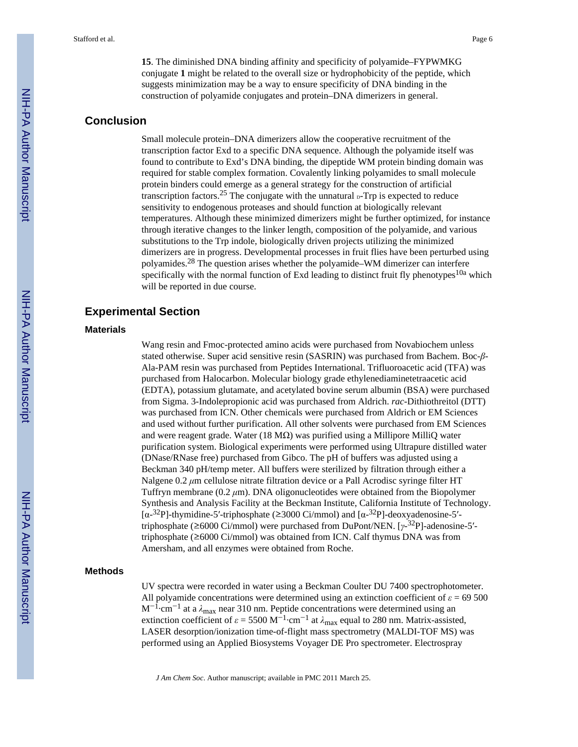**15**. The diminished DNA binding affinity and specificity of polyamide–FYPWMKG conjugate **1** might be related to the overall size or hydrophobicity of the peptide, which suggests minimization may be a way to ensure specificity of DNA binding in the construction of polyamide conjugates and protein–DNA dimerizers in general.

## **Conclusion**

Small molecule protein–DNA dimerizers allow the cooperative recruitment of the transcription factor Exd to a specific DNA sequence. Although the polyamide itself was found to contribute to Exd's DNA binding, the dipeptide WM protein binding domain was required for stable complex formation. Covalently linking polyamides to small molecule protein binders could emerge as a general strategy for the construction of artificial transcription factors.<sup>25</sup> The conjugate with the unnatural  $\beta$ -Trp is expected to reduce sensitivity to endogenous proteases and should function at biologically relevant temperatures. Although these minimized dimerizers might be further optimized, for instance through iterative changes to the linker length, composition of the polyamide, and various substitutions to the Trp indole, biologically driven projects utilizing the minimized dimerizers are in progress. Developmental processes in fruit flies have been perturbed using polyamides.28 The question arises whether the polyamide–WM dimerizer can interfere specifically with the normal function of Exd leading to distinct fruit fly phenotypes<sup>10a</sup> which will be reported in due course.

## **Experimental Section**

#### **Materials**

Wang resin and Fmoc-protected amino acids were purchased from Novabiochem unless stated otherwise. Super acid sensitive resin (SASRIN) was purchased from Bachem. Boc-*β*-Ala-PAM resin was purchased from Peptides International. Trifluoroacetic acid (TFA) was purchased from Halocarbon. Molecular biology grade ethylenediaminetetraacetic acid (EDTA), potassium glutamate, and acetylated bovine serum albumin (BSA) were purchased from Sigma. 3-Indolepropionic acid was purchased from Aldrich. *rac*-Dithiothreitol (DTT) was purchased from ICN. Other chemicals were purchased from Aldrich or EM Sciences and used without further purification. All other solvents were purchased from EM Sciences and were reagent grade. Water (18 M $\Omega$ ) was purified using a Millipore MilliQ water purification system. Biological experiments were performed using Ultrapure distilled water (DNase/RNase free) purchased from Gibco. The pH of buffers was adjusted using a Beckman 340 pH/temp meter. All buffers were sterilized by filtration through either a Nalgene 0.2 *μ*m cellulose nitrate filtration device or a Pall Acrodisc syringe filter HT Tuffryn membrane (0.2 *μ*m). DNA oligonucleotides were obtained from the Biopolymer Synthesis and Analysis Facility at the Beckman Institute, California Institute of Technology. [ $\alpha$ -<sup>32</sup>P]-thymidine-5'-triphosphate (≥3000 Ci/mmol) and [ $\alpha$ -<sup>32</sup>P]-deoxyadenosine-5'triphosphate (≥6000 Ci/mmol) were purchased from DuPont/NEN. [*γ*-<sup>32</sup>P]-adenosine-5′ triphosphate (≥6000 Ci/mmol) was obtained from ICN. Calf thymus DNA was from Amersham, and all enzymes were obtained from Roche.

#### **Methods**

UV spectra were recorded in water using a Beckman Coulter DU 7400 spectrophotometer. All polyamide concentrations were determined using an extinction coefficient of  $\varepsilon$  = 69 500 M<sup>-1</sup>⋅cm<sup>-1</sup> at a  $\lambda_{\text{max}}$  near 310 nm. Peptide concentrations were determined using an extinction coefficient of  $\varepsilon = 5500 \text{ M}^{-1} \cdot \text{cm}^{-1}$  at  $\lambda_{\text{max}}$  equal to 280 nm. Matrix-assisted, LASER desorption/ionization time-of-flight mass spectrometry (MALDI-TOF MS) was performed using an Applied Biosystems Voyager DE Pro spectrometer. Electrospray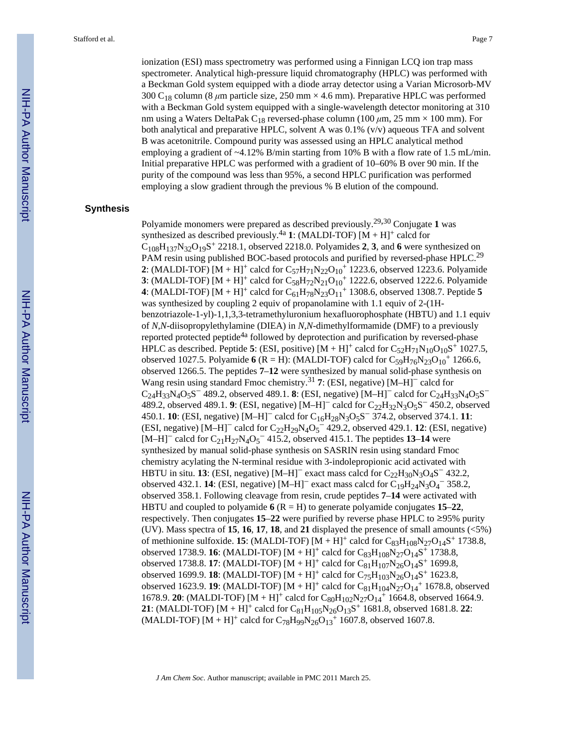ionization (ESI) mass spectrometry was performed using a Finnigan LCQ ion trap mass spectrometer. Analytical high-pressure liquid chromatography (HPLC) was performed with a Beckman Gold system equipped with a diode array detector using a Varian Microsorb-MV 300 C18 column (8 *μ*m particle size, 250 mm × 4.6 mm). Preparative HPLC was performed with a Beckman Gold system equipped with a single-wavelength detector monitoring at 310 nm using a Waters DeltaPak C18 reversed-phase column (100 *μ*m, 25 mm × 100 mm). For both analytical and preparative HPLC, solvent A was  $0.1\%$  (v/v) aqueous TFA and solvent B was acetonitrile. Compound purity was assessed using an HPLC analytical method employing a gradient of ~4.12% B/min starting from 10% B with a flow rate of 1.5 mL/min. Initial preparative HPLC was performed with a gradient of 10–60% B over 90 min. If the purity of the compound was less than 95%, a second HPLC purification was performed employing a slow gradient through the previous % B elution of the compound.

#### **Synthesis**

Polyamide monomers were prepared as described previously.29,30 Conjugate **1** was synthesized as described previously.<sup>4a</sup> 1: (MALDI-TOF)  $[M + H]^{+}$  calcd for  $C_{108}H_{137}N_{32}O_{19}S^+$  2218.1, observed 2218.0. Polyamides 2, 3, and 6 were synthesized on PAM resin using published BOC-based protocols and purified by reversed-phase HPLC.<sup>29</sup> **2**: (MALDI-TOF)  $[M + H]^+$  calcd for  $C_{57}H_{71}N_{22}O_{10}^+$  1223.6, observed 1223.6. Polyamide **3**: (MALDI-TOF)  $[M + H]^+$  calcd for  $C_{58}H_{72}N_{21}O_{10}^+$  1222.6, observed 1222.6. Polyamide **4**: (MALDI-TOF)  $[M + H]^+$  calcd for  $C_{61}H_{78}N_{23}O_{11}$ <sup>+</sup> 1308.6, observed 1308.7. Peptide 5 was synthesized by coupling 2 equiv of propanolamine with 1.1 equiv of 2-(1Hbenzotriazole-1-yl)-1,1,3,3-tetramethyluronium hexafluorophosphate (HBTU) and 1.1 equiv of *N,N*-diisopropylethylamine (DIEA) in *N,N*-dimethylformamide (DMF) to a previously reported protected peptide<sup>4a</sup> followed by deprotection and purification by reversed-phase HPLC as described. Peptide 5: (ESI, positive)  $[M + H]^+$  calcd for  $C_{52}H_{71}N_{10}O_{10}S^+$  1027.5, observed 1027.5. Polyamide **6** (R = H): (MALDI-TOF) calcd for  $C_{59}H_{76}N_{23}O_{10}$ <sup>+</sup> 1266.6, observed 1266.5. The peptides **7**–**12** were synthesized by manual solid-phase synthesis on Wang resin using standard Fmoc chemistry.<sup>31</sup> **7**: (ESI, negative) [M–H]− calcd for  $C_{24}H_{33}N_4O_5S^-$  489.2, observed 489.1. **8**: (ESI, negative) [M–H]<sup>-</sup> calcd for  $C_{24}H_{33}N_4O_5S^-$ 489.2, observed 489.1. **9**: (ESI, negative) [M-H]<sup>−</sup> calcd for C<sub>22</sub>H<sub>32</sub>N<sub>3</sub>O<sub>5</sub>S<sup>−</sup> 450.2, observed 450.1. **10**: (ESI, negative) [M–H]− calcd for C16H28N3O5S <sup>−</sup> 374.2, observed 374.1. **11**: (ESI, negative) [M–H]− calcd for C22H29N4O<sup>5</sup> <sup>−</sup> 429.2, observed 429.1. **12**: (ESI, negative)  $[M-H]$ <sup>–</sup> calcd for  $C_{21}H_{27}N_4O_5$ <sup>–</sup> 415.2, observed 415.1. The peptides 13–14 were synthesized by manual solid-phase synthesis on SASRIN resin using standard Fmoc chemistry acylating the N-terminal residue with 3-indolepropionic acid activated with HBTU in situ. **13**: (ESI, negative) [M–H]<sup>–</sup> exact mass calcd for  $C_{22}H_{30}N_3O_4S^-$  432.2, observed 432.1. **14**: (ESI, negative)  $[M-H]$ <sup>-</sup> exact mass calcd for C<sub>19</sub>H<sub>24</sub>N<sub>3</sub>O<sub>4</sub><sup>-</sup> 358.2, observed 358.1. Following cleavage from resin, crude peptides **7**–**14** were activated with HBTU and coupled to polyamide  $6$  ( $R = H$ ) to generate polyamide conjugates 15–22, respectively. Then conjugates **15**–**22** were purified by reverse phase HPLC to ≥95% purity (UV). Mass spectra of **15**, **16**, **17**, **18**, and **21** displayed the presence of small amounts (<5%) of methionine sulfoxide. **15**: (MALDI-TOF)  $[M + H]^+$  calcd for  $C_{83}H_{108}N_{27}O_{14}S^+$  1738.8, observed 1738.9. **16**: (MALDI-TOF)  $[M + H]^+$  calcd for  $C_{83}H_{108}N_{27}O_{14}S^+$  1738.8, observed 1738.8. **17**: (MALDI-TOF)  $[M + H]^+$  calcd for  $C_{81}H_{107}N_{26}O_{14}S^+$  1699.8, observed 1699.9. **18**: (MALDI-TOF)  $[M + H]^+$  calcd for  $C_{75}H_{103}N_{26}O_{14}S^+$  1623.8, observed 1623.9. **19**: (MALDI-TOF)  $[M + H]^+$  calcd for  $C_{81}H_{104}N_{27}O_{14}^+$  1678.8, observed 1678.9. **20**: (MALDI-TOF)  $[M + H]^+$  calcd for  $C_{80}H_{102}N_{27}O_{14}^+$  1664.8, observed 1664.9. **21**: (MALDI-TOF)  $[M + H]^+$  calcd for  $C_{81}H_{105}N_{26}O_{13}S^+$  1681.8, observed 1681.8. **22**: (MALDI-TOF)  $[M + H]^+$  calcd for  $C_{78}H_{99}N_{26}O_{13}^+$  1607.8, observed 1607.8.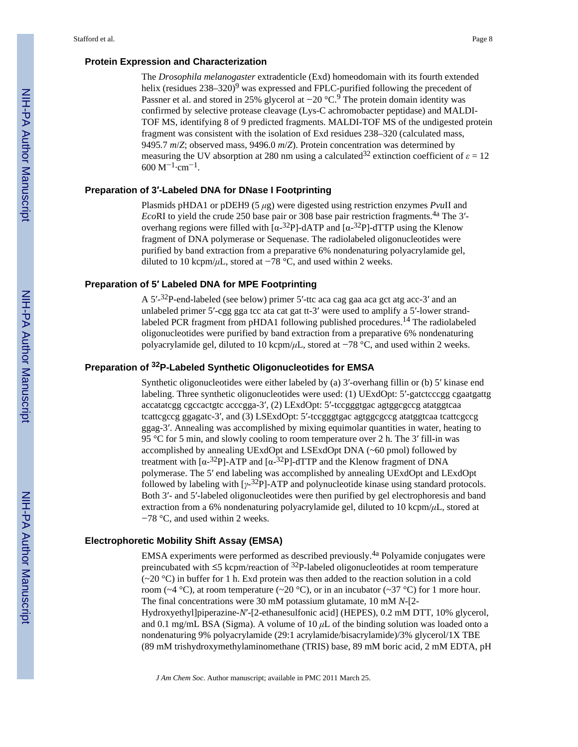#### **Protein Expression and Characterization**

The *Drosophila melanogaster* extradenticle (Exd) homeodomain with its fourth extended helix (residues 238–320)<sup>9</sup> was expressed and FPLC-purified following the precedent of Passner et al. and stored in 25% glycerol at −20 °C.<sup>9</sup> The protein domain identity was confirmed by selective protease cleavage (Lys-C achromobacter peptidase) and MALDI-TOF MS, identifying 8 of 9 predicted fragments. MALDI-TOF MS of the undigested protein fragment was consistent with the isolation of Exd residues 238–320 (calculated mass, 9495.7 *m*/*Z*; observed mass, 9496.0 *m*/*Z*). Protein concentration was determined by measuring the UV absorption at 280 nm using a calculated<sup>32</sup> extinction coefficient of  $\varepsilon = 12$  $600 \text{ M}^{-1} \cdot \text{cm}^{-1}$ .

#### **Preparation of 3′-Labeled DNA for DNase I Footprinting**

Plasmids pHDA1 or pDEH9 (5 *μ*g) were digested using restriction enzymes *Pvu*II and *Eco*RI to yield the crude 250 base pair or 308 base pair restriction fragments.<sup>4a</sup> The 3'overhang regions were filled with  $\left[\alpha^{-32}P\right]$ -dATP and  $\left[\alpha^{-32}P\right]$ -dTTP using the Klenow fragment of DNA polymerase or Sequenase. The radiolabeled oligonucleotides were purified by band extraction from a preparative 6% nondenaturing polyacrylamide gel, diluted to 10 kcpm/ $\mu$ L, stored at  $-78$  °C, and used within 2 weeks.

#### **Preparation of 5′ Labeled DNA for MPE Footprinting**

A  $5'$ - $32$ P-end-labeled (see below) primer  $5'$ -ttc aca cag gaa aca gct atg acc- $3'$  and an unlabeled primer 5'-cgg gga tcc ata cat gat tt-3' were used to amplify a 5'-lower strandlabeled PCR fragment from pHDA1 following published procedures.<sup>14</sup> The radiolabeled oligonucleotides were purified by band extraction from a preparative 6% nondenaturing polyacrylamide gel, diluted to 10 kcpm/*μ*L, stored at −78 °C, and used within 2 weeks.

### **Preparation of 32P-Labeled Synthetic Oligonucleotides for EMSA**

Synthetic oligonucleotides were either labeled by (a) 3′-overhang fillin or (b) 5′ kinase end labeling. Three synthetic oligonucleotides were used: (1) UExdOpt: 5′-gatctcccgg cgaatgattg accatatcgg cgccactgtc acccgga-3′, (2) LExdOpt: 5′-tccgggtgac agtggcgccg atatggtcaa tcattcgccg ggagatc-3′, and (3) LSExdOpt: 5′-tccgggtgac agtggcgccg atatggtcaa tcattcgccg ggag-3′. Annealing was accomplished by mixing equimolar quantities in water, heating to 95 °C for 5 min, and slowly cooling to room temperature over 2 h. The 3′ fill-in was accomplished by annealing UExdOpt and LSExdOpt DNA (~60 pmol) followed by treatment with  $\left[\alpha^{-32}P\right]$ -ATP and  $\left[\alpha^{-32}P\right]$ -dTTP and the Klenow fragment of DNA polymerase. The 5′ end labeling was accomplished by annealing UExdOpt and LExdOpt followed by labeling with [*γ*-<sup>32</sup>P]-ATP and polynucleotide kinase using standard protocols. Both 3′- and 5′-labeled oligonucleotides were then purified by gel electrophoresis and band extraction from a 6% nondenaturing polyacrylamide gel, diluted to 10 kcpm/*μ*L, stored at −78 °C, and used within 2 weeks.

#### **Electrophoretic Mobility Shift Assay (EMSA)**

EMSA experiments were performed as described previously.4a Polyamide conjugates were preincubated with  $\leq$ 5 kcpm/reaction of <sup>32</sup>P-labeled oligonucleotides at room temperature  $(-20 \degree C)$  in buffer for 1 h. Exd protein was then added to the reaction solution in a cold room ( $\sim$ 4 °C), at room temperature ( $\sim$ 20 °C), or in an incubator ( $\sim$ 37 °C) for 1 more hour. The final concentrations were 30 mM potassium glutamate, 10 mM *N*-[2- Hydroxyethyl]piperazine-*N*′-[2-ethanesulfonic acid] (HEPES), 0.2 mM DTT, 10% glycerol, and 0.1 mg/mL BSA (Sigma). A volume of 10 *μ*L of the binding solution was loaded onto a nondenaturing 9% polyacrylamide (29:1 acrylamide/bisacrylamide)/3% glycerol/1X TBE (89 mM trishydroxymethylaminomethane (TRIS) base, 89 mM boric acid, 2 mM EDTA, pH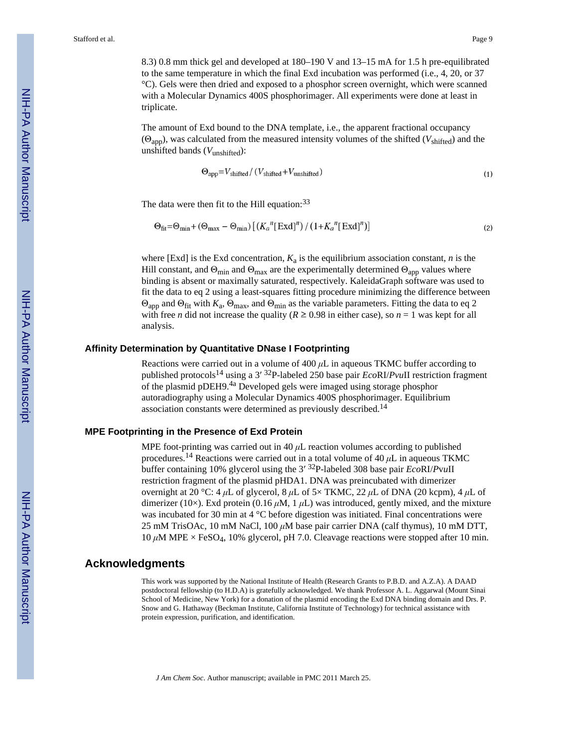8.3) 0.8 mm thick gel and developed at 180–190 V and 13–15 mA for 1.5 h pre-equilibrated to the same temperature in which the final Exd incubation was performed (i.e., 4, 20, or 37 °C). Gels were then dried and exposed to a phosphor screen overnight, which were scanned with a Molecular Dynamics 400S phosphorimager. All experiments were done at least in triplicate.

The amount of Exd bound to the DNA template, i.e., the apparent fractional occupancy (Θapp), was calculated from the measured intensity volumes of the shifted (*V*shifted) and the unshifted bands (*V*unshifted):

$$
\Theta_{app} = V_{shifted} / (V_{shifted} + V_{unshifted}) \tag{1}
$$

The data were then fit to the Hill equation:<sup>33</sup>

$$
\Theta_{\text{fit}} = \Theta_{\text{min}} + (\Theta_{\text{max}} - \Theta_{\text{min}}) \left[ \left( K_a^{\ n} [\text{Exd}]^n \right) / \left( 1 + K_a^{\ n} [\text{Exd}]^n \right) \right] \tag{2}
$$

where [Exd] is the Exd concentration,  $K_a$  is the equilibrium association constant,  $n$  is the Hill constant, and  $\Theta_{\text{min}}$  and  $\Theta_{\text{max}}$  are the experimentally determined  $\Theta_{\text{app}}$  values where binding is absent or maximally saturated, respectively. KaleidaGraph software was used to fit the data to eq 2 using a least-squares fitting procedure minimizing the difference between  $\Theta_{app}$  and  $\Theta_{fit}$  with  $K_a$ ,  $\Theta_{max}$ , and  $\Theta_{min}$  as the variable parameters. Fitting the data to eq 2 with free *n* did not increase the quality ( $R \ge 0.98$  in either case), so  $n = 1$  was kept for all analysis.

#### **Affinity Determination by Quantitative DNase I Footprinting**

Reactions were carried out in a volume of 400 *μ*L in aqueous TKMC buffer according to published protocols14 using a 3′ <sup>32</sup>P-labeled 250 base pair *Eco*RI/*Pvu*II restriction fragment of the plasmid pDEH9.4a Developed gels were imaged using storage phosphor autoradiography using a Molecular Dynamics 400S phosphorimager. Equilibrium association constants were determined as previously described.<sup>14</sup>

#### **MPE Footprinting in the Presence of Exd Protein**

MPE foot-printing was carried out in 40 *μ*L reaction volumes according to published procedures.<sup>14</sup> Reactions were carried out in a total volume of 40  $\mu$ L in aqueous TKMC buffer containing 10% glycerol using the 3′ <sup>32</sup>P-labeled 308 base pair *Eco*RI/*P*v*u*II restriction fragment of the plasmid pHDA1. DNA was preincubated with dimerizer overnight at 20 °C: 4 *μ*L of glycerol, 8 *μ*L of 5× TKMC, 22 *μ*L of DNA (20 kcpm), 4 *μ*L of dimerizer (10×). Exd protein (0.16  $\mu$ M, 1  $\mu$ L) was introduced, gently mixed, and the mixture was incubated for 30 min at 4 °C before digestion was initiated. Final concentrations were 25 mM TrisOAc, 10 mM NaCl, 100 *μ*M base pair carrier DNA (calf thymus), 10 mM DTT, 10  $μ$ M MPE  $\times$  FeSO<sub>4</sub>, 10% glycerol, pH 7.0. Cleavage reactions were stopped after 10 min.

#### **Acknowledgments**

This work was supported by the National Institute of Health (Research Grants to P.B.D. and A.Z.A). A DAAD postdoctoral fellowship (to H.D.A) is gratefully acknowledged. We thank Professor A. L. Aggarwal (Mount Sinai School of Medicine, New York) for a donation of the plasmid encoding the Exd DNA binding domain and Drs. P. Snow and G. Hathaway (Beckman Institute, California Institute of Technology) for technical assistance with protein expression, purification, and identification.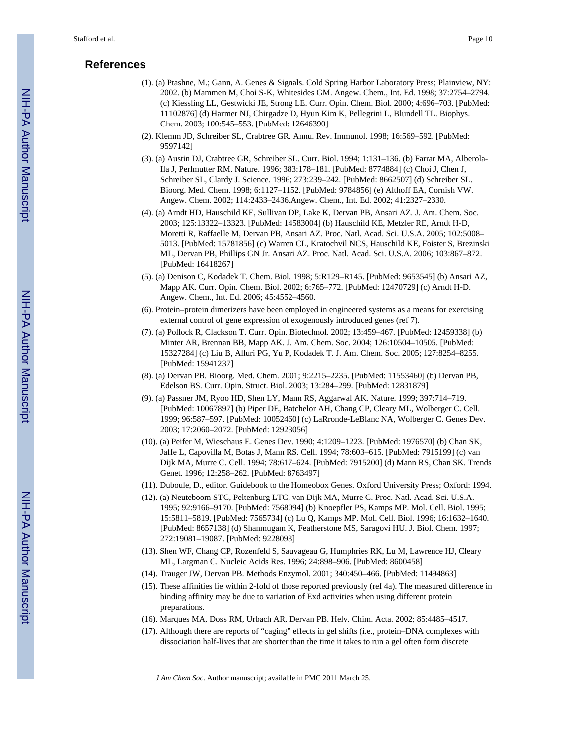## **References**

- (1). (a) Ptashne, M.; Gann, A. Genes & Signals. Cold Spring Harbor Laboratory Press; Plainview, NY: 2002. (b) Mammen M, Choi S-K, Whitesides GM. Angew. Chem., Int. Ed. 1998; 37:2754–2794. (c) Kiessling LL, Gestwicki JE, Strong LE. Curr. Opin. Chem. Biol. 2000; 4:696–703. [PubMed: 11102876] (d) Harmer NJ, Chirgadze D, Hyun Kim K, Pellegrini L, Blundell TL. Biophys. Chem. 2003; 100:545–553. [PubMed: 12646390]
- (2). Klemm JD, Schreiber SL, Crabtree GR. Annu. Rev. Immunol. 1998; 16:569–592. [PubMed: 9597142]
- (3). (a) Austin DJ, Crabtree GR, Schreiber SL. Curr. Biol. 1994; 1:131–136. (b) Farrar MA, Alberola-Ila J, Perlmutter RM. Nature. 1996; 383:178–181. [PubMed: 8774884] (c) Choi J, Chen J, Schreiber SL, Clardy J. Science. 1996; 273:239–242. [PubMed: 8662507] (d) Schreiber SL. Bioorg. Med. Chem. 1998; 6:1127–1152. [PubMed: 9784856] (e) Althoff EA, Cornish VW. Angew. Chem. 2002; 114:2433–2436.Angew. Chem., Int. Ed. 2002; 41:2327–2330.
- (4). (a) Arndt HD, Hauschild KE, Sullivan DP, Lake K, Dervan PB, Ansari AZ. J. Am. Chem. Soc. 2003; 125:13322–13323. [PubMed: 14583004] (b) Hauschild KE, Metzler RE, Arndt H-D, Moretti R, Raffaelle M, Dervan PB, Ansari AZ. Proc. Natl. Acad. Sci. U.S.A. 2005; 102:5008– 5013. [PubMed: 15781856] (c) Warren CL, Kratochvil NCS, Hauschild KE, Foister S, Brezinski ML, Dervan PB, Phillips GN Jr. Ansari AZ. Proc. Natl. Acad. Sci. U.S.A. 2006; 103:867–872. [PubMed: 16418267]
- (5). (a) Denison C, Kodadek T. Chem. Biol. 1998; 5:R129–R145. [PubMed: 9653545] (b) Ansari AZ, Mapp AK. Curr. Opin. Chem. Biol. 2002; 6:765–772. [PubMed: 12470729] (c) Arndt H-D. Angew. Chem., Int. Ed. 2006; 45:4552–4560.
- (6). Protein–protein dimerizers have been employed in engineered systems as a means for exercising external control of gene expression of exogenously introduced genes (ref 7).
- (7). (a) Pollock R, Clackson T. Curr. Opin. Biotechnol. 2002; 13:459–467. [PubMed: 12459338] (b) Minter AR, Brennan BB, Mapp AK. J. Am. Chem. Soc. 2004; 126:10504–10505. [PubMed: 15327284] (c) Liu B, Alluri PG, Yu P, Kodadek T. J. Am. Chem. Soc. 2005; 127:8254–8255. [PubMed: 15941237]
- (8). (a) Dervan PB. Bioorg. Med. Chem. 2001; 9:2215–2235. [PubMed: 11553460] (b) Dervan PB, Edelson BS. Curr. Opin. Struct. Biol. 2003; 13:284–299. [PubMed: 12831879]
- (9). (a) Passner JM, Ryoo HD, Shen LY, Mann RS, Aggarwal AK. Nature. 1999; 397:714–719. [PubMed: 10067897] (b) Piper DE, Batchelor AH, Chang CP, Cleary ML, Wolberger C. Cell. 1999; 96:587–597. [PubMed: 10052460] (c) LaRronde-LeBlanc NA, Wolberger C. Genes Dev. 2003; 17:2060–2072. [PubMed: 12923056]
- (10). (a) Peifer M, Wieschaus E. Genes Dev. 1990; 4:1209–1223. [PubMed: 1976570] (b) Chan SK, Jaffe L, Capovilla M, Botas J, Mann RS. Cell. 1994; 78:603–615. [PubMed: 7915199] (c) van Dijk MA, Murre C. Cell. 1994; 78:617–624. [PubMed: 7915200] (d) Mann RS, Chan SK. Trends Genet. 1996; 12:258–262. [PubMed: 8763497]
- (11). Duboule, D., editor. Guidebook to the Homeobox Genes. Oxford University Press; Oxford: 1994.
- (12). (a) Neuteboom STC, Peltenburg LTC, van Dijk MA, Murre C. Proc. Natl. Acad. Sci. U.S.A. 1995; 92:9166–9170. [PubMed: 7568094] (b) Knoepfler PS, Kamps MP. Mol. Cell. Biol. 1995; 15:5811–5819. [PubMed: 7565734] (c) Lu Q, Kamps MP. Mol. Cell. Biol. 1996; 16:1632–1640. [PubMed: 8657138] (d) Shanmugam K, Featherstone MS, Saragovi HU. J. Biol. Chem. 1997; 272:19081–19087. [PubMed: 9228093]
- (13). Shen WF, Chang CP, Rozenfeld S, Sauvageau G, Humphries RK, Lu M, Lawrence HJ, Cleary ML, Largman C. Nucleic Acids Res. 1996; 24:898–906. [PubMed: 8600458]
- (14). Trauger JW, Dervan PB. Methods Enzymol. 2001; 340:450–466. [PubMed: 11494863]
- (15). These affinities lie within 2-fold of those reported previously (ref 4a). The measured difference in binding affinity may be due to variation of Exd activities when using different protein preparations.
- (16). Marques MA, Doss RM, Urbach AR, Dervan PB. Helv. Chim. Acta. 2002; 85:4485–4517.
- (17). Although there are reports of "caging" effects in gel shifts (i.e., protein–DNA complexes with dissociation half-lives that are shorter than the time it takes to run a gel often form discrete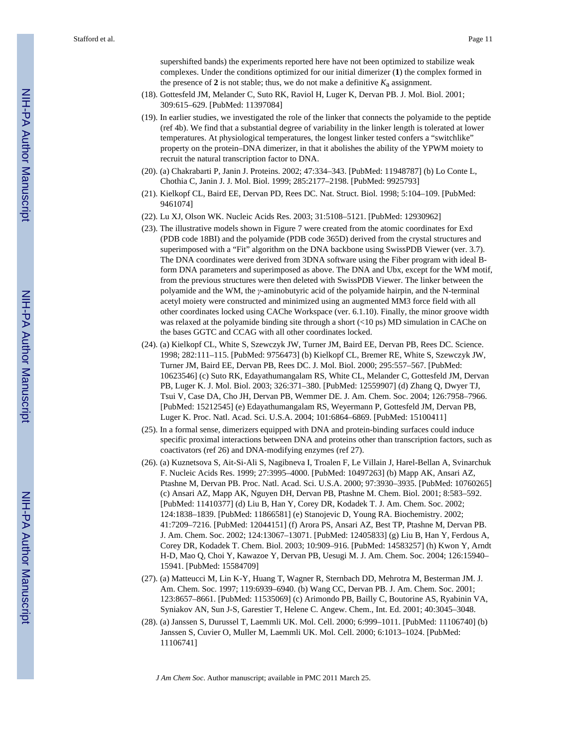supershifted bands) the experiments reported here have not been optimized to stabilize weak complexes. Under the conditions optimized for our initial dimerizer (**1**) the complex formed in the presence of  $2$  is not stable; thus, we do not make a definitive  $K_a$  assignment.

- (18). Gottesfeld JM, Melander C, Suto RK, Raviol H, Luger K, Dervan PB. J. Mol. Biol. 2001; 309:615–629. [PubMed: 11397084]
- (19). In earlier studies, we investigated the role of the linker that connects the polyamide to the peptide (ref 4b). We find that a substantial degree of variability in the linker length is tolerated at lower temperatures. At physiological temperatures, the longest linker tested confers a "switchlike" property on the protein–DNA dimerizer, in that it abolishes the ability of the YPWM moiety to recruit the natural transcription factor to DNA.
- (20). (a) Chakrabarti P, Janin J. Proteins. 2002; 47:334–343. [PubMed: 11948787] (b) Lo Conte L, Chothia C, Janin J. J. Mol. Biol. 1999; 285:2177–2198. [PubMed: 9925793]
- (21). Kielkopf CL, Baird EE, Dervan PD, Rees DC. Nat. Struct. Biol. 1998; 5:104–109. [PubMed: 9461074]
- (22). Lu XJ, Olson WK. Nucleic Acids Res. 2003; 31:5108–5121. [PubMed: 12930962]
- (23). The illustrative models shown in Figure 7 were created from the atomic coordinates for Exd (PDB code 18BI) and the polyamide (PDB code 365D) derived from the crystal structures and superimposed with a "Fit" algorithm on the DNA backbone using SwissPDB Viewer (ver. 3.7). The DNA coordinates were derived from 3DNA software using the Fiber program with ideal Bform DNA parameters and superimposed as above. The DNA and Ubx, except for the WM motif, from the previous structures were then deleted with SwissPDB Viewer. The linker between the polyamide and the WM, the *γ*-aminobutyric acid of the polyamide hairpin, and the N-terminal acetyl moiety were constructed and minimized using an augmented MM3 force field with all other coordinates locked using CAChe Workspace (ver. 6.1.10). Finally, the minor groove width was relaxed at the polyamide binding site through a short (<10 ps) MD simulation in CAChe on the bases GGTC and CCAG with all other coordinates locked.
- (24). (a) Kielkopf CL, White S, Szewczyk JW, Turner JM, Baird EE, Dervan PB, Rees DC. Science. 1998; 282:111–115. [PubMed: 9756473] (b) Kielkopf CL, Bremer RE, White S, Szewczyk JW, Turner JM, Baird EE, Dervan PB, Rees DC. J. Mol. Biol. 2000; 295:557–567. [PubMed: 10623546] (c) Suto RK, Edayathumangalam RS, White CL, Melander C, Gottesfeld JM, Dervan PB, Luger K. J. Mol. Biol. 2003; 326:371–380. [PubMed: 12559907] (d) Zhang Q, Dwyer TJ, Tsui V, Case DA, Cho JH, Dervan PB, Wemmer DE. J. Am. Chem. Soc. 2004; 126:7958–7966. [PubMed: 15212545] (e) Edayathumangalam RS, Weyermann P, Gottesfeld JM, Dervan PB, Luger K. Proc. Natl. Acad. Sci. U.S.A. 2004; 101:6864–6869. [PubMed: 15100411]
- (25). In a formal sense, dimerizers equipped with DNA and protein-binding surfaces could induce specific proximal interactions between DNA and proteins other than transcription factors, such as coactivators (ref 26) and DNA-modifying enzymes (ref 27).
- (26). (a) Kuznetsova S, Ait-Si-Ali S, Nagibneva I, Troalen F, Le Villain J, Harel-Bellan A, Svinarchuk F. Nucleic Acids Res. 1999; 27:3995–4000. [PubMed: 10497263] (b) Mapp AK, Ansari AZ, Ptashne M, Dervan PB. Proc. Natl. Acad. Sci. U.S.A. 2000; 97:3930–3935. [PubMed: 10760265] (c) Ansari AZ, Mapp AK, Nguyen DH, Dervan PB, Ptashne M. Chem. Biol. 2001; 8:583–592. [PubMed: 11410377] (d) Liu B, Han Y, Corey DR, Kodadek T. J. Am. Chem. Soc. 2002; 124:1838–1839. [PubMed: 11866581] (e) Stanojevic D, Young RA. Biochemistry. 2002; 41:7209–7216. [PubMed: 12044151] (f) Arora PS, Ansari AZ, Best TP, Ptashne M, Dervan PB. J. Am. Chem. Soc. 2002; 124:13067–13071. [PubMed: 12405833] (g) Liu B, Han Y, Ferdous A, Corey DR, Kodadek T. Chem. Biol. 2003; 10:909–916. [PubMed: 14583257] (h) Kwon Y, Arndt H-D, Mao Q, Choi Y, Kawazoe Y, Dervan PB, Uesugi M. J. Am. Chem. Soc. 2004; 126:15940– 15941. [PubMed: 15584709]
- (27). (a) Matteucci M, Lin K-Y, Huang T, Wagner R, Sternbach DD, Mehrotra M, Besterman JM. J. Am. Chem. Soc. 1997; 119:6939–6940. (b) Wang CC, Dervan PB. J. Am. Chem. Soc. 2001; 123:8657–8661. [PubMed: 11535069] (c) Arimondo PB, Bailly C, Boutorine AS, Ryabinin VA, Syniakov AN, Sun J-S, Garestier T, Helene C. Angew. Chem., Int. Ed. 2001; 40:3045–3048.
- (28). (a) Janssen S, Durussel T, Laemmli UK. Mol. Cell. 2000; 6:999–1011. [PubMed: 11106740] (b) Janssen S, Cuvier O, Muller M, Laemmli UK. Mol. Cell. 2000; 6:1013–1024. [PubMed: 11106741]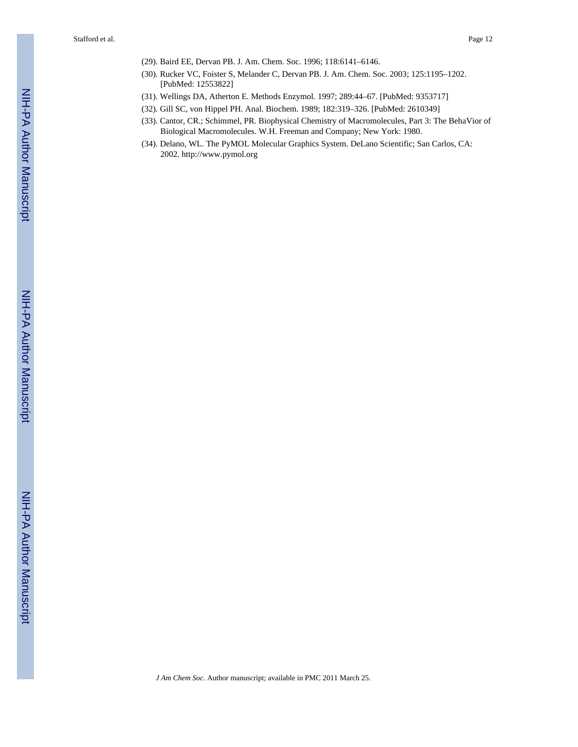- (29). Baird EE, Dervan PB. J. Am. Chem. Soc. 1996; 118:6141–6146.
- (30). Rucker VC, Foister S, Melander C, Dervan PB. J. Am. Chem. Soc. 2003; 125:1195–1202. [PubMed: 12553822]
- (31). Wellings DA, Atherton E. Methods Enzymol. 1997; 289:44–67. [PubMed: 9353717]
- (32). Gill SC, von Hippel PH. Anal. Biochem. 1989; 182:319–326. [PubMed: 2610349]
- (33). Cantor, CR.; Schimmel, PR. Biophysical Chemistry of Macromolecules, Part 3: The BehaVior of Biological Macromolecules. W.H. Freeman and Company; New York: 1980.
- (34). Delano, WL. The PyMOL Molecular Graphics System. DeLano Scientific; San Carlos, CA: 2002.<http://www.pymol.org>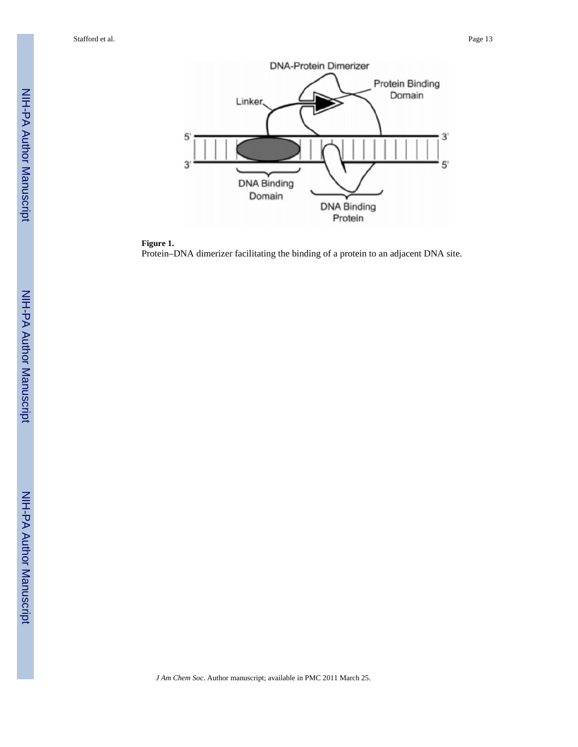

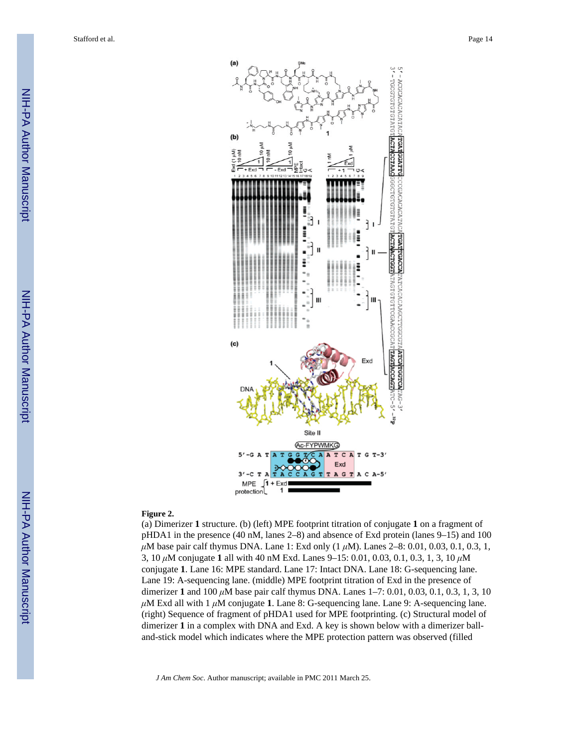

#### **Figure 2.**

(a) Dimerizer **1** structure. (b) (left) MPE footprint titration of conjugate **1** on a fragment of pHDA1 in the presence (40 nM, lanes 2–8) and absence of Exd protein (lanes 9–15) and 100 *μ*M base pair calf thymus DNA. Lane 1: Exd only (1 *μ*M). Lanes 2–8: 0.01, 0.03, 0.1, 0.3, 1, 3, 10 *μ*M conjugate **1** all with 40 nM Exd. Lanes 9–15: 0.01, 0.03, 0.1, 0.3, 1, 3, 10 *μ*M conjugate **1**. Lane 16: MPE standard. Lane 17: Intact DNA. Lane 18: G-sequencing lane. Lane 19: A-sequencing lane. (middle) MPE footprint titration of Exd in the presence of dimerizer **1** and 100 *μ*M base pair calf thymus DNA. Lanes 1–7: 0.01, 0.03, 0.1, 0.3, 1, 3, 10 *μ*M Exd all with 1 *μ*M conjugate **1**. Lane 8: G-sequencing lane. Lane 9: A-sequencing lane. (right) Sequence of fragment of pHDA1 used for MPE footprinting. (c) Structural model of dimerizer **1** in a complex with DNA and Exd. A key is shown below with a dimerizer balland-stick model which indicates where the MPE protection pattern was observed (filled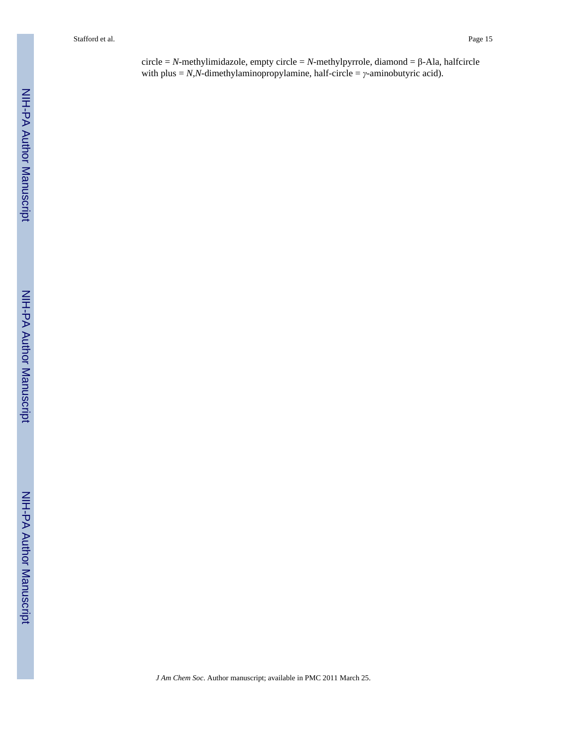circle = *N*-methylimidazole, empty circle = *N*-methylpyrrole, diamond = β-Ala, halfcircle with plus = *N,N*-dimethylaminopropylamine, half-circle = *γ*-aminobutyric acid).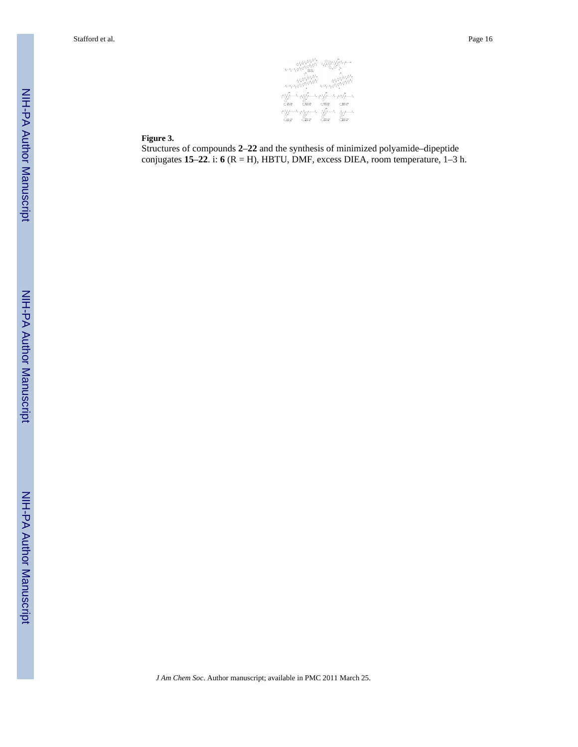viksjokar  $\phi\psi^{\dagger}$ .<br>1994-1994-1994-1994-1994-1 ျား<br>၂၀။ ၁၈။<br>၂၀။ ၁၁  $C_{\rm H8-10}$  $\mathcal{C}^{\text{mod}}$ dunga dungan ्<br>दक्कार  $\frac{C}{C_{\rm max}}$ o.<br>Cine

#### **Figure 3.**

Structures of compounds **2**–**22** and the synthesis of minimized polyamide–dipeptide conjugates **15**–**22**. i: **6** (R = H), HBTU, DMF, excess DIEA, room temperature, 1–3 h.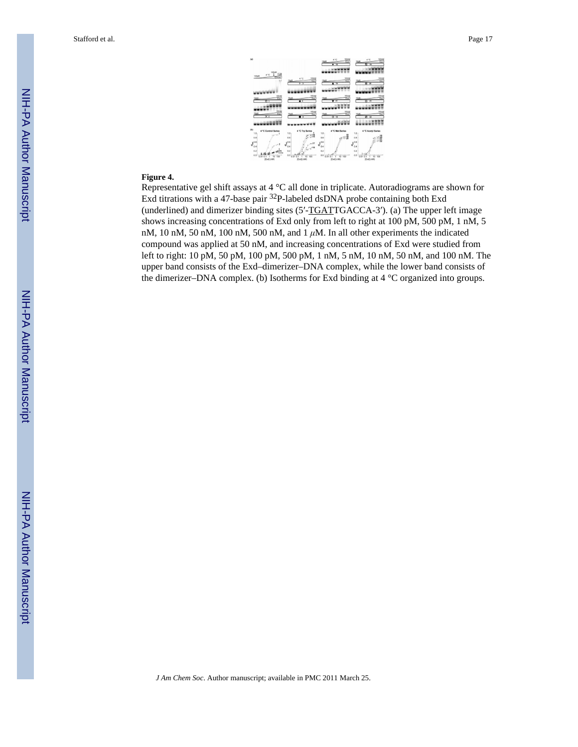

## **Figure 4.**

Representative gel shift assays at 4 °C all done in triplicate. Autoradiograms are shown for Exd titrations with a 47-base pair 32P-labeled dsDNA probe containing both Exd (underlined) and dimerizer binding sites (5′-TGATTGACCA-3′). (a) The upper left image shows increasing concentrations of Exd only from left to right at 100 pM, 500 pM, 1 nM, 5 nM, 10 nM, 50 nM, 100 nM, 500 nM, and 1 *μ*M. In all other experiments the indicated compound was applied at 50 nM, and increasing concentrations of Exd were studied from left to right: 10 pM, 50 pM, 100 pM, 500 pM, 1 nM, 5 nM, 10 nM, 50 nM, and 100 nM. The upper band consists of the Exd–dimerizer–DNA complex, while the lower band consists of the dimerizer–DNA complex. (b) Isotherms for Exd binding at 4 °C organized into groups.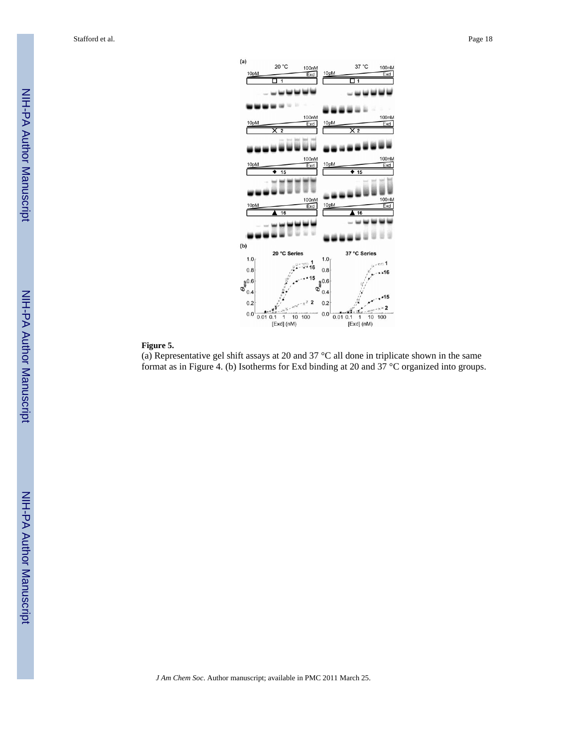

#### **Figure 5.**

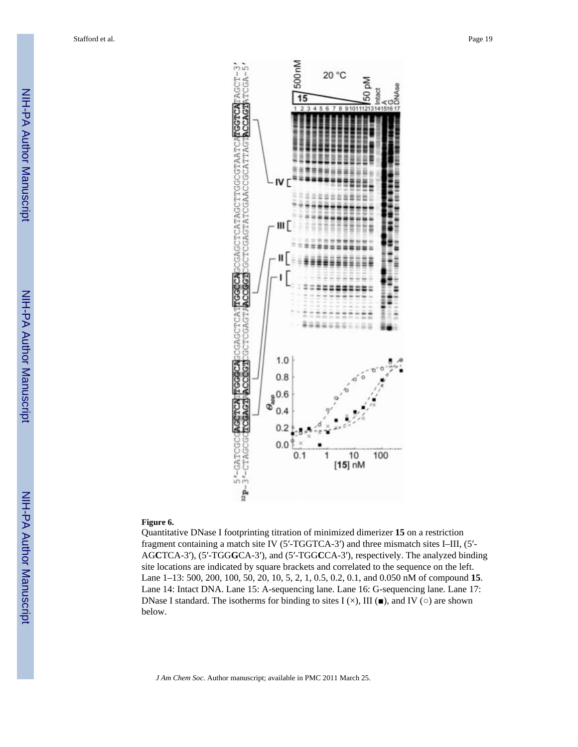

#### **Figure 6.**

Quantitative DNase I footprinting titration of minimized dimerizer **15** on a restriction fragment containing a match site IV (5′-TGGTCA-3′) and three mismatch sites I–III, (5′- AG**C**TCA-3′), (5′-TGG**G**CA-3′), and (5′-TGG**C**CA-3′), respectively. The analyzed binding site locations are indicated by square brackets and correlated to the sequence on the left. Lane 1–13: 500, 200, 100, 50, 20, 10, 5, 2, 1, 0.5, 0.2, 0.1, and 0.050 nM of compound **15**. Lane 14: Intact DNA. Lane 15: A-sequencing lane. Lane 16: G-sequencing lane. Lane 17: DNase I standard. The isotherms for binding to sites I ( $\times$ ), III ( $\blacksquare$ ), and IV ( $\circ$ ) are shown below.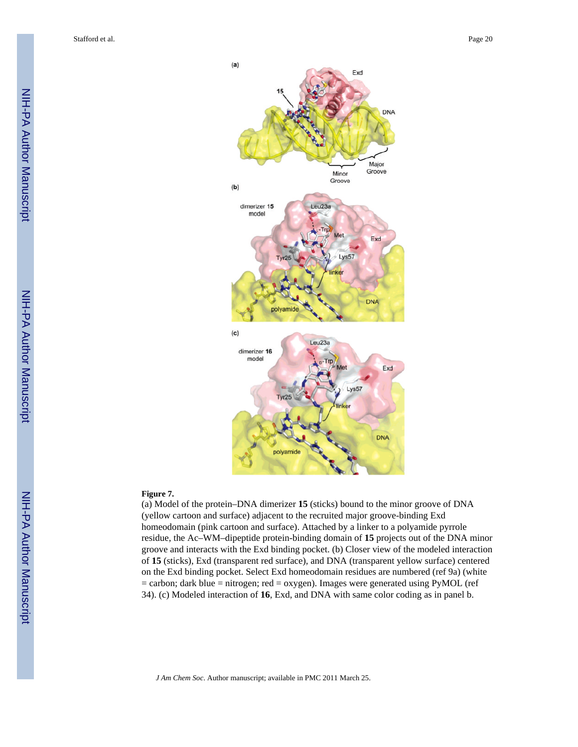

Lys57

DN/

 $(a)$ 

 $(b)$ 

dimerizer 15

model



#### **Figure 7.**

(a) Model of the protein–DNA dimerizer **15** (sticks) bound to the minor groove of DNA (yellow cartoon and surface) adjacent to the recruited major groove-binding Exd homeodomain (pink cartoon and surface). Attached by a linker to a polyamide pyrrole residue, the Ac–WM–dipeptide protein-binding domain of **15** projects out of the DNA minor groove and interacts with the Exd binding pocket. (b) Closer view of the modeled interaction of **15** (sticks), Exd (transparent red surface), and DNA (transparent yellow surface) centered on the Exd binding pocket. Select Exd homeodomain residues are numbered (ref 9a) (white = carbon; dark blue = nitrogen; red = oxygen). Images were generated using PyMOL (ref 34). (c) Modeled interaction of **16**, Exd, and DNA with same color coding as in panel b.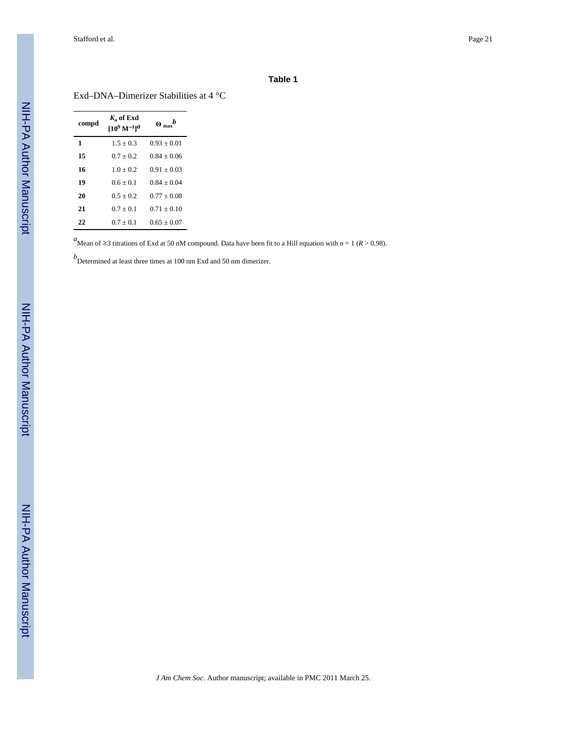#### **Table 1**

Exd–DNA–Dimerizer Stabilities at 4 °C

| compd | $K_{\rm o}$ of Exd<br>$10^9 \,\mathrm{M}^{-1}$ l $^a$ | $\Theta_{\text{ max}}^{\qquad b}$ |
|-------|-------------------------------------------------------|-----------------------------------|
| 1     | $1.5 + 0.3$                                           | $0.93 + 0.01$                     |
| 15    | $0.7 + 0.2$                                           | $0.84 + 0.06$                     |
| 16    | $1.0 + 0.2$                                           | $0.91 + 0.03$                     |
| 19    | $0.6 + 0.1$                                           | $0.84 + 0.04$                     |
| 20    | $0.5 + 0.2$                                           | $0.77 + 0.08$                     |
| 21    | $0.7 + 0.1$                                           | $0.71 + 0.10$                     |
| 22    | $0.7 + 0.1$                                           | $0.65 + 0.07$                     |

*a*Mean of ≥3 titrations of Exd at 50 nM compound. Data have been fit to a Hill equation with *n* = 1 (*R* > 0.98).

*b* Determined at least three times at 100 nm Exd and 50 nm dimerizer.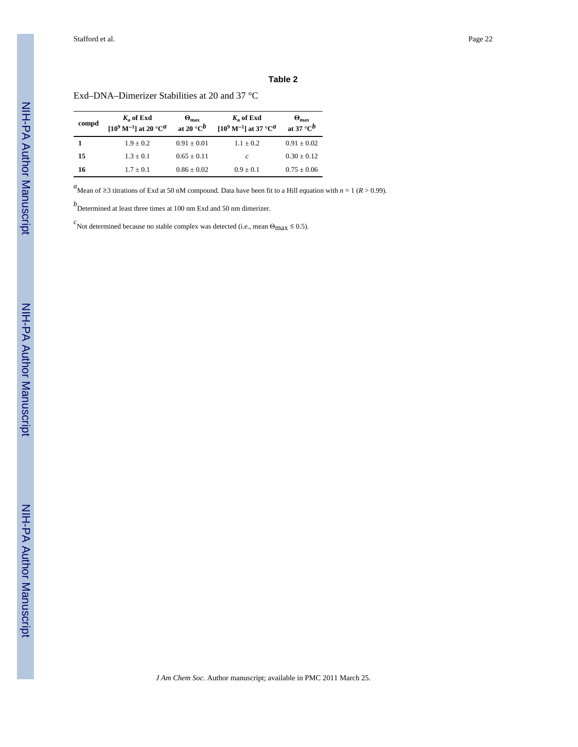#### **Table 2**

Exd–DNA–Dimerizer Stabilities at 20 and 37 °C

| compd | $K_a$ of Exd<br>$[10^9 \text{ M}^{-1}]$ at 20 °C <sup>a</sup> | $\Theta_{\text{max}}$<br>at 20 $\degree$ C <sup>b</sup> | $K_a$ of Exd<br>$[10^9 \text{ M}^{-1}]$ at 37 °C <sup><i>a</i></sup> | $\Theta_{\text{max}}$<br>at 37 °C $^b$ |
|-------|---------------------------------------------------------------|---------------------------------------------------------|----------------------------------------------------------------------|----------------------------------------|
|       | $1.9 + 0.2$                                                   | $0.91 \pm 0.01$                                         | $1.1 + 0.2$                                                          | $0.91 \pm 0.02$                        |
| 15    | $1.3 \pm 0.1$                                                 | $0.65 \pm 0.11$                                         | c                                                                    | $0.30 \pm 0.12$                        |
| 16    | $1.7 + 0.1$                                                   | $0.86 \pm 0.02$                                         | $0.9 + 0.1$                                                          | $0.75 \pm 0.06$                        |

*a*Mean of ≥3 titrations of Exd at 50 nM compound. Data have been fit to a Hill equation with *n* = 1 (*R* > 0.99).

*b* Determined at least three times at 100 nm Exd and 50 nm dimerizer.

 $c$ <br>
Not determined because no stable complex was detected (i.e., mean Θ<sub>max</sub>  $\leq$  0.5).